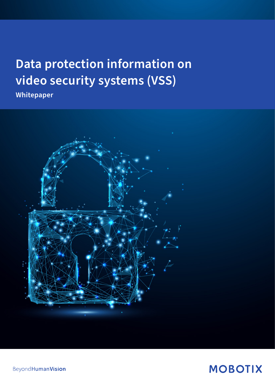# **Data protection information on video security systems (VSS)**

**Whitepaper**



**BeyondHumanVision** 

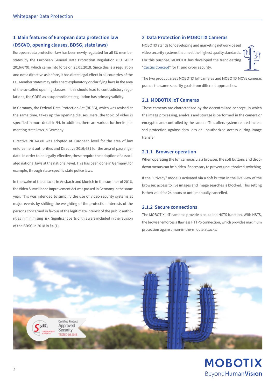# **1 Main features of European data protection law (DSGVO, opening clauses, BDSG, state laws)**

European data protection law has been newly regulated for all EU member states by the European General Data Protection Regulation (EU GDPR 2016/679), which came into force on 25.05.2018. Since this is a regulation and not a directive as before, it has direct legal effect in all countries of the EU. Member states may only enact explanatory or clarifying laws in the area of the so-called opening clauses. If this should lead to contradictory regulations, the GDPR as a superordinate regulation has primary validity.

In Germany, the Federal Data Protection Act (BDSG), which was revised at the same time, takes up the opening clauses. Here, the topic of video is specified in more detail in §4. In addition, there are various further implementing state laws in Germany.

Directive 2016/680 was adopted at European level for the area of law enforcement authorities and Directive 2016/681 for the area of passenger data. In order to be legally effective, these require the adoption of associated national laws at the national level. This has been done in Germany, for example, through state-specific state police laws.

In the wake of the attacks in Ansbach and Munich in the summer of 2016, the Video Surveillance Improvement Act was passed in Germany in the same year. This was intended to simplify the use of video security systems at major events by shifting the weighting of the protection interests of the persons concerned in favour of the legitimate interest of the public authorities in minimising risk. Significant parts of this were included in the revision of the BDSG in 2018 in §4 (1).

# **2 Data Protection in MOBOTIX Cameras**

MOBOTIX stands for developing and marketing network-based video security systems that meet the highest quality standards. For this purpose, MOBOTIX has developed the trend-setting ["Cactus Concept](https://www.mobotix.com/en/cactus-concept-cyber-security)" for IT and cyber security.



The two product areas MOBOTIX IoT cameras and MOBOTIX MOVE cameras pursue the same security goals from different approaches.

# **2.1 MOBOTIX IoT Cameras**

These cameras are characterized by the decentralized concept, in which the image processing, analysis and storage is performed in the camera or encrypted and controlled by the camera. This offers system-related increased protection against data loss or unauthorized access during image transfer.

# **2.1.1 Browser operation**

When operating the IoT cameras via a browser, the soft buttons and dropdown menus can be hidden if necessary to prevent unauthorized switching.

If the "Privacy" mode is activated via a soft button in the live view of the browser, access to live images and image searches is blocked. This setting is then valid for 24 hours or until manually cancelled.

# **2.1.2 Secure connections**

The MOBOTIX IoT cameras provide a so-called HSTS function. With HSTS, the browser enforces a flawless HTTPS connection, which provides maximum protection against man-in-the-middle attacks.

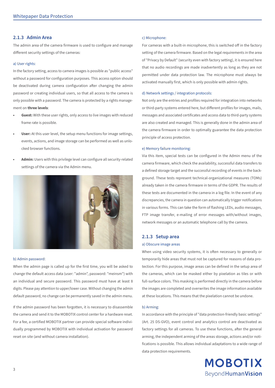## **2.1.3 Admin Area**

The admin area of the camera firmware is used to configure and manage different security settings of the cameras:

## a) User rights:

In the factory setting, access to camera images is possible as "public access" without a password for configuration purposes. This access option should be deactivated during camera configuration after changing the admin password or creating individual users, so that all access to the camera is only possible with a password. The camera is protected by a rights management on **three levels**:

- **• Guest:** With these user rights, only access to live images with reduced frame rate is possible.
- **User:** At this user level, the setup menu functions for image settings, events, actions, and image storage can be performed as well as unlocked browser functions.
- **• Admin:** Users with this privilege level can configure all security-related settings of the camera via the Admin menu.



#### b) Admin password:

When the admin page is called up for the first time, you will be asked to change the default access data (user: "admin", password: "meinsm") with an individual and secure password. This password must have at least 8 digits. Please pay attention to upper/lower case. Without changing the admin default password, no change can be permanently saved in the admin menu.

If the admin password has been forgotten, it is necessary to disassemble the camera and send it to the MOBOTIX control center for a hardware reset. For a fee, a certified MOBOTIX partner can provide special software individually programmed by MOBOTIX with individual activation for password reset on site (and without camera installation).

#### c) Microphone:

For cameras with a built-in microphone, this is switched off in the factory setting of the camera firmware. Based on the legal requirements in the area of "Privacy by Default" (security even with factory setting), it is ensured here that no audio recordings are made inadvertently as long as they are not permitted under data protection law. The microphone must always be activated manually first, which is only possible with admin rights.

#### d) Network settings / integration protocols:

Not only are the entries and profiles required for integration into networks or third-party systems entered here, but different profiles for images, mails, messages and associated certificates and access data to third-party systems are also created and managed. This is generally done in the admin area of the camera firmware in order to optimally guarantee the data protection principle of access protection.

#### e) Memory failure monitoring:

Via this item, special tests can be configured in the Admin menu of the camera firmware, which check the availability, successful data transfers to a defined storage target and the successful recording of events in the background. These tests represent technical-organizational measures (TOMs) already taken in the camera firmware in terms of the GDPR. The results of these tests are documented in the camera in a log file. In the event of any discrepancies, the camera in question can automatically trigger notifications in various forms. This can take the form of flashing LEDs, audio messages, FTP image transfer, e-mailing of error messages with/without images, network messages or an automatic telephone call by the camera.

#### **2.1.3 Setup area**

#### a) Obscure image areas

When using video security systems, it is often necessary to generally or temporarily hide areas that must not be captured for reasons of data protection. For this purpose, image areas can be defined in the setup area of the cameras, which can be masked either by pixelation as tiles or with full-surface colors. This masking is performed directly in the camera before the images are completed and overwrites the image information available at these locations. This means that the pixelation cannot be undone.

#### b) Arming:

In accordance with the principle of "data protection-friendly basic settings" (Art. 25 DS-GVO), event control and analytics control are deactivated as factory settings for all cameras. To use these functions, after the general arming, the independent arming of the areas storage, actions and/or notifications is possible. This allows individual adaptations to a wide range of data protection requirements.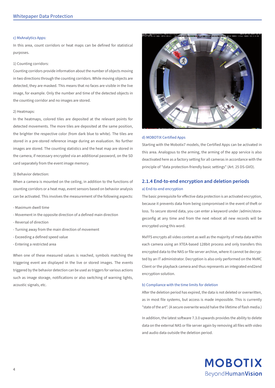## c) MxAnalytics Apps:

In this area, count corridors or heat maps can be defined for statistical purposes.

#### 1) Counting corridors:

Counting corridors provide information about the number of objects moving in two directions through the counting corridors. While moving objects are detected, they are masked. This means that no faces are visible in the live image, for example. Only the number and time of the detected objects in the counting corridor and no images are stored.

#### 2) Heatmaps:

In the heatmaps, colored tiles are deposited at the relevant points for detected movements. The more tiles are deposited at the same position, the brighter the respective color (from dark blue to white). The tiles are stored in a pre-stored reference image during an evaluation. No further images are stored. The counting statistics and the heat map are stored in the camera, if necessary encrypted via an additional password, on the SD card separately from the event image memory.

#### 3) Behavior detection:

When a camera is mounted on the ceiling, in addition to the functions of counting corridors or a heat map, event sensors based on behavior analysis can be activated. This involves the measurement of the following aspects:

- Maximum dwell time
- Movement in the opposite direction of a defined main direction
- Reversal of direction
- Turning away from the main direction of movement
- Exceeding a defined speed value
- Entering a restricted area

When one of these measured values is reached, symbols matching the triggering event are displayed in the live or stored images. The events triggered by the behavior detection can be used as triggers for various actions such as image storage, notifications or also switching of warning lights, acoustic signals, etc.



#### d) MOBOTIX Certified Apps

Starting with the Mobotix7 models, the Certified Apps can be activated in this area. Analogous to the arming, the arming of the app service is also deactivated here as a factory setting for all cameras in accordance with the principle of "data protection-friendly basic settings" (Art. 25 DS-GVO).

# **2.1.4 End-to-end encryption and deletion periods** a) End-to-end encryption

The basic prerequisite for effective data protection is an activated encryption, because it prevents data from being compromised in the event of theft or loss. To secure stored data, you can enter a keyword under /admin/storageconfig at any time and from the next reboot all new records will be encrypted using this word.

MxFFS encrypts all video content as well as the majority of meta data within each camera using an XTEA-based 128bit process and only transfers this encrypted data to the NAS or file server archive, where it cannot be decrypted by an IT administrator. Decryption is also only performed on the MxMC Client or the playback camera and thus represents an integrated end2end encryption solution.

#### b) Compliance with the time limits for deletion

After the deletion period has expired, the data is not deleted or overwritten, as in most file systems, but access is made impossible. This is currently "state of the art". (A secure overwrite would halve the lifetime of flash media.)

In addition, the latest software 7.3.0 upwards provides the ability to delete data on the external NAS or file server again by removing all files with video and audio data outside the deletion period.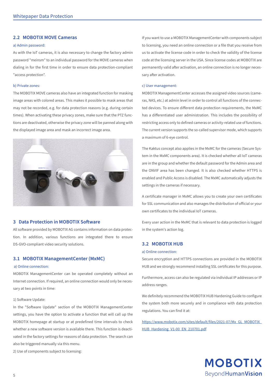## **2.2 MOBOTIX MOVE Cameras**

#### a) Admin password:

As with the IoT cameras, it is also necessary to change the factory admin password "meinsm" to an individual password for the MOVE cameras when dialing in for the first time in order to ensure data protection-compliant "access protection".

#### b) Private zones:

The MOBOTIX MOVE cameras also have an integrated function for masking image areas with colored areas. This makes it possible to mask areas that may not be recorded, e.g. for data protection reasons (e.g. during certain times). When activating these privacy zones, make sure that the PTZ functions are deactivated, otherwise the privacy zone will be panned along with the displayed image area and mask an incorrect image area.



# **3 Data Protection in MOBOTIX Software**

All software provided by MOBOTIX AG contains information on data protection. In addition, various functions are integrated there to ensure DS-GVO-compliant video security solutions.

# **3.1 MOBOTIX ManagementCenter (MxMC)**

#### a) Online connection:

MOBOTIX ManagementCenter can be operated completely without an Internet connection. If required, an online connection would only be necessary at two points in time:

#### 1) Software Update:

In the "Software Update" section of the MOBOTIX ManagementCenter settings, you have the option to activate a function that will call up the MOBOTIX homepage at startup or at predefined time intervals to check whether a new software version is available there. This function is deactivated in the factory settings for reasons of data protection. The search can also be triggered manually via this menu.

2) Use of components subject to licensing:

If you want to use a MOBOTIX ManagementCenter with components subject to licensing, you need an online connection or a file that you receive from us to activate the license code in order to check the validity of the license code at the licensing server in the USA. Since license codes at MOBOTIX are permanently valid after activation, an online connection is no longer necessary after activation.

#### c) User management:

MOBOTIX ManagementCenter accesses the assigned video sources (cameras, NAS, etc.) at admin level in order to control all functions of the connected devices. To ensure different data protection requirements, the MxMC has a differentiated user administration. This includes the possibility of restricting access only to defined cameras or activity-related use of functions. The current version supports the so-called supervisor mode, which supports a maximum of 6-eye control.

The Kaktus concept also applies in the MxMC for the cameras (Secure System in the MxMC components area). It is checked whether all IoT cameras are in the group and whether the default password for the Admin area and the ONVIF area has been changed. It is also checked whether HTTPS is enabled and Public Access is disabled. The MxMC automatically adjusts the settings in the cameras if necessary.

A certificate manager in MxMC allows you to create your own certificates for SSL communication and also manages the distribution of official or your own certificates to the individual IoT cameras.

Every user action in the MxMC that is relevant to data protection is logged in the system's action log.

#### **3.2 MOBOTIX HUB**

#### a) Online connection:

Secure encryption and HTTPS connections are provided in the MOBOTIX HUB and we strongly recommend installing SSL certificates for this purpose.

Furthermore, access can also be regulated via individual IP addresses or IP address ranges.

We definitely recommend the MOBOTIX HUB Hardening Guide to configure the system both more securely and in compliance with data protection regulations. You can find it at:

[https://www.mobotix.com/sites/default/files/2021-07/Mx\\_GL\\_MOBOTIX\\_](https://www.mobotix.com/sites/default/files/2021-07/Mx_GL_MOBOTIX_HUB_Hardening_V1-00_EN_210701.pdf) [HUB\\_Hardening\\_V1-00\\_EN\\_210701.pdf](https://www.mobotix.com/sites/default/files/2021-07/Mx_GL_MOBOTIX_HUB_Hardening_V1-00_EN_210701.pdf)

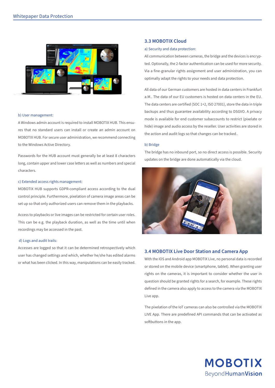

#### b) User management:

A Windows admin account is required to install MOBOTIX HUB. This ensures that no standard users can install or create an admin account on MOBOTIX HUB. For secure user administration, we recommend connecting to the Windows Active Directory.

Passwords for the HUB account must generally be at least 8 characters long, contain upper and lower case letters as well as numbers and special characters.

#### c) Extended access rights management:

MOBOTIX HUB supports GDPR-compliant access according to the dual control principle. Furthermore, pixelation of camera image areas can be set up so that only authorized users can remove them in the playbacks.

Access to playbacks or live images can be restricted for certain user roles. This can be e.g. the playback duration, as well as the time until when recordings may be accessed in the past.

#### d) Logs and audit trails:

Accesses are logged so that it can be determined retrospectively which user has changed settings and which, whether he/she has edited alarms or what has been clicked. In this way, manipulations can be easily tracked.

## **3.3 MOBOTIX Cloud**

#### a) Security and data protection:

All communication between cameras, the bridge and the devices is encrypted. Optionally, the 2-factor authentication can be used for more security. Via a fine-granular rights assignment and user administration, you can optimally adapt the rights to your needs and data protection.

All data of our German customers are hosted in data centers in Frankfurt a.M.. The data of our EU customers is hosted on data centers in the EU. The data centers are certified (SOC 1+2, ISO 27001), store the data in triple backups and thus guarantee availability according to DSGVO. A privacy mode is available for end customer subaccounts to restrict (pixelate or hide) image and audio access by the reseller. User activities are stored in the action and audit logs so that changes can be tracked..

#### b) Bridge

The bridge has no inbound port, so no direct access is possible. Security updates on the bridge are done automatically via the cloud.



## **3.4 MOBOTIX Live Door Station and Camera App**

With the IOS and Android app MOBOTIX Live, no personal data is recorded or stored on the mobile device (smartphone, tablet). When granting user rights on the cameras, it is important to consider whether the user in question should be granted rights for a search, for example. These rights defined in the camera also apply to access to the camera via the MOBOTIX Live app.

The pixelation of the IoT cameras can also be controlled via the MOBOTIX LIVE App. There are predefined API commands that can be activated as softbuttons in the app.